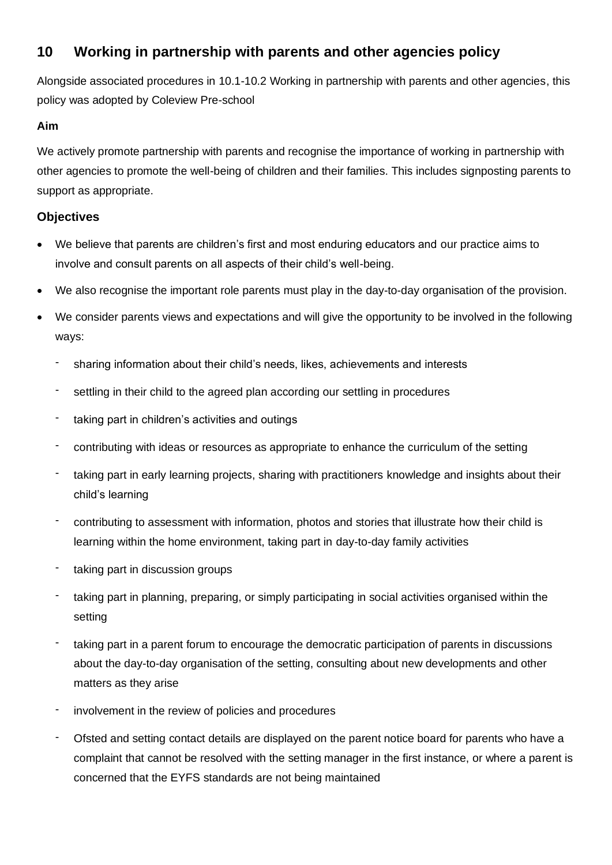# **10 Working in partnership with parents and other agencies policy**

Alongside associated procedures in 10.1-10.2 Working in partnership with parents and other agencies, this policy was adopted by Coleview Pre-school

## **Aim**

We actively promote partnership with parents and recognise the importance of working in partnership with other agencies to promote the well-being of children and their families. This includes signposting parents to support as appropriate.

## **Objectives**

- We believe that parents are children's first and most enduring educators and our practice aims to involve and consult parents on all aspects of their child's well-being.
- We also recognise the important role parents must play in the day-to-day organisation of the provision.
- We consider parents views and expectations and will give the opportunity to be involved in the following ways:
	- sharing information about their child's needs, likes, achievements and interests
	- settling in their child to the agreed plan according our settling in procedures
	- taking part in children's activities and outings
	- contributing with ideas or resources as appropriate to enhance the curriculum of the setting
	- taking part in early learning projects, sharing with practitioners knowledge and insights about their child's learning
	- contributing to assessment with information, photos and stories that illustrate how their child is learning within the home environment, taking part in day-to-day family activities
	- taking part in discussion groups
	- taking part in planning, preparing, or simply participating in social activities organised within the setting
	- taking part in a parent forum to encourage the democratic participation of parents in discussions about the day-to-day organisation of the setting, consulting about new developments and other matters as they arise
	- involvement in the review of policies and procedures
	- Ofsted and setting contact details are displayed on the parent notice board for parents who have a complaint that cannot be resolved with the setting manager in the first instance, or where a parent is concerned that the EYFS standards are not being maintained